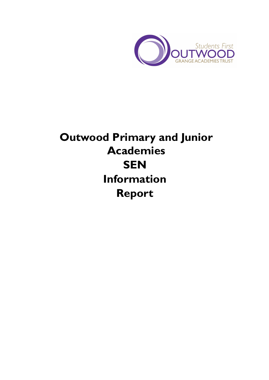

# **Outwood Primary and Junior Academies SEN Information Report**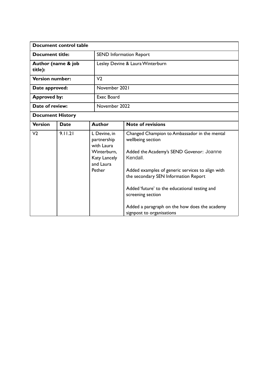| Document control table        |             |                                                                                                 |                                                                                                                                                                                                                                                                                                                                                                           |  |
|-------------------------------|-------------|-------------------------------------------------------------------------------------------------|---------------------------------------------------------------------------------------------------------------------------------------------------------------------------------------------------------------------------------------------------------------------------------------------------------------------------------------------------------------------------|--|
| <b>Document title:</b>        |             |                                                                                                 | <b>SEND Information Report</b>                                                                                                                                                                                                                                                                                                                                            |  |
| Author (name & job<br>title): |             |                                                                                                 | Lesley Devine & Laura Winterburn                                                                                                                                                                                                                                                                                                                                          |  |
| <b>Version number:</b>        |             | V <sub>2</sub>                                                                                  |                                                                                                                                                                                                                                                                                                                                                                           |  |
| Date approved:                |             |                                                                                                 | November 2021                                                                                                                                                                                                                                                                                                                                                             |  |
| <b>Approved by:</b>           |             | Exec Board                                                                                      |                                                                                                                                                                                                                                                                                                                                                                           |  |
| Date of review:               |             |                                                                                                 | November 2022                                                                                                                                                                                                                                                                                                                                                             |  |
| <b>Document History</b>       |             |                                                                                                 |                                                                                                                                                                                                                                                                                                                                                                           |  |
| <b>Version</b>                | <b>Date</b> | <b>Author</b>                                                                                   | <b>Note of revisions</b>                                                                                                                                                                                                                                                                                                                                                  |  |
| V <sub>2</sub>                | 9.11.21     | L Devine, in<br>partnership<br>with Laura<br>Winterburn.<br>Katy Lancely<br>and Laura<br>Pether | Changed Champion to Ambassador in the mental<br>wellbeing section<br>Added the Academy's SEND Govenor: Joanne<br>Kendall.<br>Added examples of generic services to align with<br>the secondary SEN Information Report<br>Added 'future' to the educational testing and<br>screening section<br>Added a paragraph on the how does the academy<br>signpost to organisations |  |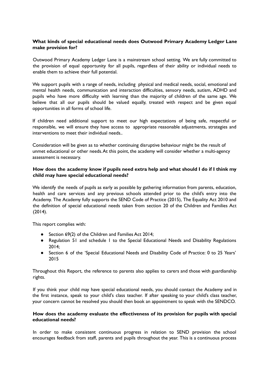## **What kinds of special educational needs does Outwood Primary Academy Ledger Lane make provision for?**

Outwood Primary Academy Ledger Lane is a mainstream school setting. We are fully committed to the provision of equal opportunity for all pupils, regardless of their ability or individual needs to enable them to achieve their full potential.

We support pupils with a range of needs, including physical and medical needs, social, emotional and mental health needs, communication and interaction difficulties, sensory needs, autism, ADHD and pupils who have more difficulty with learning than the majority of children of the same age. We believe that all our pupils should be valued equally, treated with respect and be given equal opportunities in all forms of school life.

If children need additional support to meet our high expectations of being safe, respectful or responsible, we will ensure they have access to appropriate reasonable adjustments, strategies and interventions to meet their individual needs..

Consideration will be given as to whether continuing disruptive behaviour might be the result of unmet educational or other needs.At this point, the academy will consider whether a multi-agency assessment is necessary.

## **How does the academy know if pupils need extra help and what should I do if I think my child may have special educational needs?**

We identify the needs of pupils as early as possible by gathering information from parents, education, health and care services and any previous schools attended prior to the child's entry into the Academy. The Academy fully supports the SEND Code of Practice (2015), The Equality Act 2010 and the definition of special educational needs taken from section 20 of the Children and Families Act (2014).

This report complies with:

- Section 69(2) of the Children and Families Act 2014;
- Regulation 51 and schedule 1 to the Special Educational Needs and Disability Regulations 2014;
- Section 6 of the 'Special Educational Needs and Disability Code of Practice: 0 to 25 Years' 2015

Throughout this Report, the reference to parents also applies to carers and those with guardianship rights.

If you think your child may have special educational needs, you should contact the Academy and in the first instance, speak to your child's class teacher. If after speaking to your child's class teacher, your concern cannot be resolved you should then book an appointment to speak with the SENDCO.

## **How does the academy evaluate the effectiveness of its provision for pupils with special educational needs?**

In order to make consistent continuous progress in relation to SEND provision the school encourages feedback from staff, parents and pupils throughout the year. This is a continuous process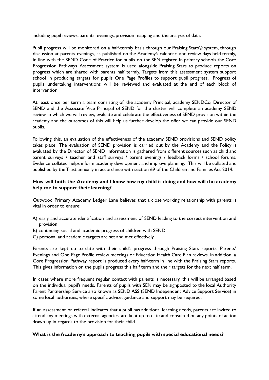including pupil reviews, parents' evenings, provision mapping and the analysis of data.

Pupil progress will be monitored on a half-termly basis through our Praising Stars© system, through discussion at parents evenings, as published on the Academy's calendar and review days held termly, in line with the SEND Code of Practice for pupils on the SEN register. In primary schools the Core Progression Pathways Assessment system is used alongside Praising Stars to produce reports on progress which are shared with parents half termly. Targets from this assessment system support school in producing targets for pupils One Page Profiles to support pupil progress. Progress of pupils undertaking interventions will be reviewed and evaluated at the end of each block of intervention.

At least once per term a team consisting of, the academy Principal, academy SENDCo, Director of SEND and the Associate Vice Principal of SEND for the cluster will complete an academy SEND review in which we will review, evaluate and celebrate the effectiveness of SEND provision within the academy and the outcomes of this will help us further develop the offer we can provide our SEND pupils.

Following this, an evaluation of the effectiveness of the academy SEND provisions and SEND policy takes place. The evaluation of SEND provision is carried out by the Academy and the Policy is evaluated by the Director of SEND. Information is gathered from different sources such as child and parent surveys / teacher and staff surveys / parent evenings / feedback forms / school forums. Evidence collated helps inform academy development and improve planning. This will be collated and published by the Trust annually in accordance with section 69 of the Children and Families Act 2014.

## **How will both the Academy and I know how my child is doing and how will the academy help me to support their learning?**

Outwood Primary Academy Ledger Lane believes that a close working relationship with parents is vital in order to ensure:

- A) early and accurate identification and assessment of SEND leading to the correct intervention and provision
- B) continuing social and academic progress of children with SEND
- C) personal and academic targets are set and met effectively

Parents are kept up to date with their child's progress through Praising Stars reports, Parents' Evenings and One Page Profile review meetings or Education Health Care Plan reviews. In addition, a Core Progression Pathway report is produced every half-term in line with the Praising Stars reports. This gives information on the pupils progress this half term and their targets for the next half term.

In cases where more frequent regular contact with parents is necessary, this will be arranged based on the individual pupil's needs. Parents of pupils with SEN may be signposted to the local Authority Parent Partnership Service also known as SENDIASS (SEND Independent Advice Support Service) in some local authorities, where specific advice, guidance and support may be required.

If an assessment or referral indicates that a pupil has additional learning needs, parents are invited to attend any meetings with external agencies, are kept up to date and consulted on any points of action drawn up in regards to the provision for their child.

#### **What is the Academy's approach to teaching pupils with special educational needs?**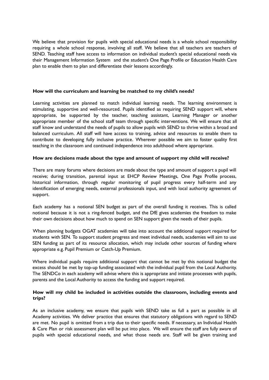We believe that provision for pupils with special educational needs is a whole school responsibility requiring a whole school response, involving all staff. We believe that all teachers are teachers of SEND. Teaching staff have access to information on individual student's special educational needs via their Management Information System and the student's One Page Profile or Education Health Care plan to enable them to plan and differentiate their lessons accordingly.

## **How will the curriculum and learning be matched to my child's needs?**

Learning activities are planned to match individual learning needs. The learning environment is stimulating, supportive and well-resourced. Pupils identified as requiring SEND support will, where appropriate, be supported by the teacher, teaching assistant, Learning Manager or another appropriate member of the school staff team through specific interventions. We will ensure that all staff know and understand the needs of pupils to allow pupils with SEND to thrive within a broad and balanced curriculum. All staff will have access to training, advice and resources to enable them to contribute to developing fully inclusive practice. Wherever possible we aim to foster quality first teaching in the classroom and continued independence into adulthood where appropriate.

## **How are decisions made about the type and amount of support my child will receive?**

There are many forums where decisions are made about the type and amount of support a pupil will receive; during transition, parental input at EHCP Review Meetings, One Page Profile process, historical information, through regular monitoring of pupil progress every half-term and any identification of emerging needs, external professionals input, and with local authority agreement of support.

Each academy has a notional SEN budget as part of the overall funding it receives. This is called notional because it is not a ring-fenced budget, and the DfE gives academies the freedom to make their own decisions about how much to spend on SEN support given the needs of their pupils.

When planning budgets OGAT academies will take into account the additional support required for students with SEN. To support student progress and meet individual needs, academies will aim to use SEN funding as part of its resource allocation, which may include other sources of funding where appropriate e.g. Pupil Premium or Catch-Up Premium.

Where individual pupils require additional support that cannot be met by this notional budget the excess should be met by top-up funding associated with the individual pupil from the Local Authority. The SENDCo in each academy will advise where this is appropriate and initiate processes with pupils, parents and the Local Authority to access the funding and support required.

## **How will my child be included in activities outside the classroom, including events and trips?**

As an inclusive academy, we ensure that pupils with SEND take as full a part as possible in all Academy activities. We deliver practice that ensures that statutory obligations with regard to SEND are met. No pupil is omitted from a trip due to their specific needs. If necessary, an Individual Health & Care Plan or risk assessment plan will be put into place. We will ensure the staff are fully aware of pupils with special educational needs, and what those needs are. Staff will be given training and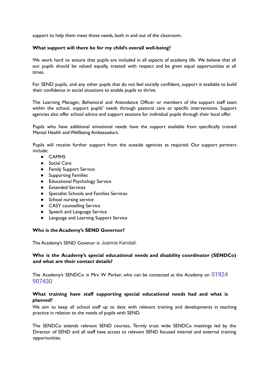support to help them meet those needs, both in and out of the classroom.

## **What support will there be for my child's overall well-being?**

We work hard to ensure that pupils are included in all aspects of academy life. We believe that all our pupils should be valued equally, treated with respect and be given equal opportunities at all times.

For SEND pupils, and any other pupils that do not feel socially confident, support is available to build their confidence in social situations to enable pupils to thrive:

The Learning Manager, Behavioral and Attendance Officer or members of the support staff team within the school, support pupils' needs through pastoral care or specific interventions. Support agencies also offer school advice and support sessions for individual pupils through their local offer.

Pupils who have additional emotional needs have the support available from specifically trained Mental Health andWellbeing Ambassadors.

Pupils will receive further support from the outside agencies as required. Our support partners include:

- CAMHS
- Social Care
- Family Support Service
- Supporting Families
- Educational Psychology Service
- Extended Services
- Specialist Schools and Families Services
- School nursing service
- CASY counselling Service
- Speech and Language Service
- Language and Learning Support Service

#### **Who is the Academy's SEND Governor?**

The Academy's SEND Govenor is Joanne Kendall.

## **Who is the Academy's special educational needs and disability coordinator (SENDCo) and what are their contact details?**

The Academy's SENDCo is Mrs W Parker, who can be contacted at the Academy on 01924 907430

## **What training have staff supporting special educational needs had and what is planned?**

We aim to keep all school staff up to date with relevant training and developments in teaching practice in relation to the needs of pupils with SEND.

The SENDCo attends relevant SEND courses, Termly trust wide SENDCo meetings led by the Director of SEND and all staff have access to relevant SEND focused internal and external training opportunities.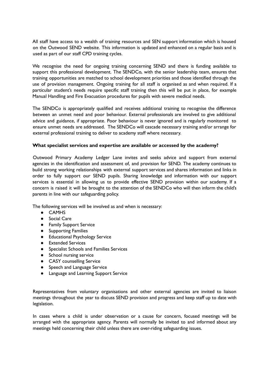All staff have access to a wealth of training resources and SEN support information which is housed on the Outwood SEND website. This information is updated and enhanced on a regular basis and is used as part of our staff CPD training cycles.

We recognise the need for ongoing training concerning SEND and there is funding available to support this professional development. The SENDCo, with the senior leadership team, ensures that training opportunities are matched to school development priorities and those identified through the use of provision management. Ongoing training for all staff is organised as and when required. If a particular student's needs require specific staff training then this will be put in place, for example Manual Handling and Fire Evacuation procedures for pupils with severe medical needs.

The SENDCo is appropriately qualified and receives additional training to recognise the difference between an unmet need and poor behaviour. External professionals are involved to give additional advice and guidance, if appropriate. Poor behaviour is never ignored and is regularly monitored to ensure unmet needs are addressed. The SENDCo will cascade necessary training and/or arrange for external professional training to deliver to academy staff where necessary.

## **What specialist services and expertise are available or accessed by the academy?**

Outwood Primary Academy Ledger Lane invites and seeks advice and support from external agencies in the identification and assessment of, and provision for SEND. The academy continues to build strong working relationships with external support services and shares information and links in order to fully support our SEND pupils. Sharing knowledge and information with our support services is essential in allowing us to provide effective SEND provision within our academy. If a concern is raised it will be brought to the attention of the SENDCo who will then inform the child's parents in line with our safeguarding policy.

The following services will be involved as and when is necessary:

- CAMHS
- Social Care
- Family Support Service
- Supporting Families
- Educational Psychology Service
- Extended Services
- Specialist Schools and Families Services
- School nursing service
- CASY counselling Service
- Speech and Language Service
- Language and Learning Support Service

Representatives from voluntary organisations and other external agencies are invited to liaison meetings throughout the year to discuss SEND provision and progress and keep staff up to date with legislation.

In cases where a child is under observation or a cause for concern, focused meetings will be arranged with the appropriate agency. Parents will normally be invited to and informed about any meetings held concerning their child unless there are over-riding safeguarding issues.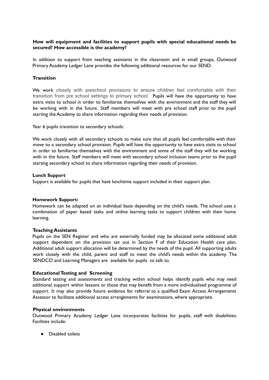## **How will equipment and facilities to support pupils with special educational needs be secured? How accessible is the academy?**

In addition to support from teaching assistants in the classroom and in small groups, Outwood Primary Academy Ledger Lane provides the following additional resources for our SEND:

## **Transition**

We work closely with preschool provisions to ensure children feel comfortable with their transition from pre school settings to primary school. Pupils will have the opportunity to have extra visits to school in order to familiarise themselves with the environment and the staff they will be working with in the future. Staff members will meet with pre school staff prior to the pupil starting the Academy to share information regarding their needs of provision.

Year 6 pupils transition to secondary schools:

We work closely with all secondary schools to make sure that all pupils feel comfortable with their move to a secondary school provision. Pupils will have the opportunity to have extra visits to school in order to familiarise themselves with the environment and some of the staff they will be working with in the future. Staff members will meet with secondary school inclusion teams prior to the pupil starting secondary school to share information regarding their needs of provision.

#### **Lunch Support**

Support is available for pupils that have lunchtime support included in their support plan.

#### **Homework Support:**

Homework can be adapted on an individual basis depending on the child's needs. The school uses a combination of paper based tasks and online learning tasks to support children with their home learning.

#### **Teaching Assistants**

Pupils on the SEN Register and who are externally funded may be allocated some additional adult support dependent on the provision set out in Section F of their Education Health care plan. Additional adult support allocation will be determined by the needs of the pupil. All supporting adults work closely with the child, parent and staff to meet the child's needs within the academy. The SENDCO and Learning Managers are available for pupils to talk to.

#### **EducationalTesting and Screening**

Standard testing and assessments and tracking within school helps identify pupils who may need additional support within lessons or those that may benefit from a more individualised programme of support. It may also provide future evidence for referral to a qualified Exam Access Arrangements Assessor to facilitate additional access arrangements for examinations, where appropriate.

#### **Physical environments**

Outwood Primary Academy Ledger Lane incorporates facilities for pupils, staff with disabilities. Facilities include:

● Disabled toilets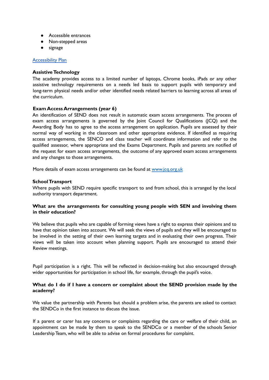- Accessible entrances
- Non-stepped areas
- signage

## [Accessibility](https://academy-sites-files.outwood.com/policy/9/file/c405fe7d162efe8f99154096518a72c9.pdf) Plan

## **Assistive Technology**

The academy provides access to a limited number of laptops, Chrome books, iPads or any other assistive technology requirements on a needs led basis to support pupils with temporary and long-term physical needs and/or other identified needs related barriers to learning across all areas of the curriculum.

## **Exam Access Arrangements (year 6)**

An identification of SEND does not result in automatic exam access arrangements. The process of exam access arrangements is governed by the Joint Council for Qualifications (JCQ) and the Awarding Body has to agree to the access arrangement on application. Pupils are assessed by their normal way of working in the classroom and other appropriate evidence. If identified as requiring access arrangements, the SENCO and class teacher will coordinate information and refer to the qualified assessor, where appropriate and the Exams Department. Pupils and parents are notified of the request for exam access arrangements, the outcome of any approved exam access arrangements and any changes to those arrangements.

More details of exam access arrangements can be found at www.jcq.org.uk

## **SchoolTransport**

Where pupils with SEND require specific transport to and from school, this is arranged by the local authority transport department.

## **What are the arrangements for consulting young people with SEN and involving them in their education?**

We believe that pupils who are capable of forming views have a right to express their opinions and to have that opinion taken into account. We will seek the views of pupils and they will be encouraged to be involved in the setting of their own learning targets and in evaluating their own progress. Their views will be taken into account when planning support. Pupils are encouraged to attend their Review meetings.

Pupil participation is a right. This will be reflected in decision-making but also encouraged through wider opportunities for participation in school life, for example, through the pupil's voice.

## **What do I do if I have a concern or complaint about the SEND provision made by the academy?**

We value the partnership with Parents but should a problem arise, the parents are asked to contact the SENDCo in the first instance to discuss the issue.

If a parent or carer has any concerns or complaints regarding the care or welfare of their child, an appointment can be made by them to speak to the SENDCo or a member of the schools Senior Leadership Team, who will be able to advise on formal procedures for complaint.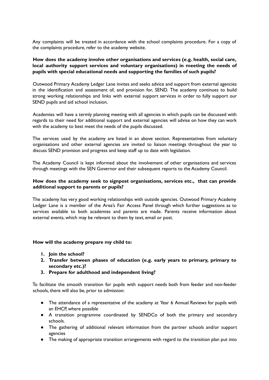Any complaints will be treated in accordance with the school complaints procedure. For a copy of the complaints procedure, refer to the academy website.

## **How does the academy involve other organisations and services (e.g. health, social care, local authority support services and voluntary organisations) in meeting the needs of pupils with special educational needs and supporting the families of such pupils?**

Outwood Primary Academy Ledger Lane invites and seeks advice and support from external agencies in the identification and assessment of, and provision for, SEND. The academy continues to build strong working relationships and links with external support services in order to fully support our SEND pupils and aid school inclusion.

Academies will have a termly planning meeting with all agencies in which pupils can be discussed with regards to their need for additional support and external agencies will advise on how they can work with the academy to best meet the needs of the pupils discussed.

The services used by the academy are listed in an above section. Representatives from voluntary organisations and other external agencies are invited to liaison meetings throughout the year to discuss SEND provision and progress and keep staff up to date with legislation.

The Academy Council is kept informed about the involvement of other organisations and services through meetings with the SEN Governor and their subsequent reports to the Academy Council.

## **How does the academy seek to signpost organisations, services etc., that can provide additional support to parents or pupils?**

The academy has very good working relationships with outside agencies. Outwood Primary Academy Ledger Lane is a member of the Area's Fair Access Panel through which further suggestions as to services available to both academies and parents are made. Parents receive information about external events, which may be relevant to them by text, email or post.

#### **How will the academy prepare my child to:**

- **1. Join the school?**
- **2. Transfer between phases of education (e.g. early years to primary, primary to secondary etc.)?**
- **3. Prepare for adulthood and independent living?**

To facilitate the smooth transition for pupils with support needs both from feeder and non-feeder schools, there will also be, prior to admission:

- The attendance of a representative of the academy at Year 6 Annual Reviews for pupils with an EHCP, where possible
- A transition programme coordinated by SENDCo of both the primary and secondary schools.
- The gathering of additional relevant information from the partner schools and/or support agencies
- The making of appropriate transition arrangements with regard to the transition plan put into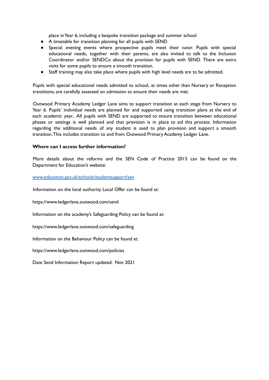place inYear 6, including a bespoke transition package and summer school

- A timetable for transition planning for all pupils with SEND
- Special evening events where prospective pupils meet their tutor. Pupils with special educational needs, together with their parents, are also invited to talk to the Inclusion Coordinator and/or SENDCo about the provision for pupils with SEND. There are extra visits for some pupils to ensure a smooth transition.
- Staff training may also take place where pupils with high level needs are to be admitted.

Pupils with special educational needs admitted to school, at times other than Nursery or Reception transitions, are carefully assessed on admission to ensure their needs are met.

Outwood Primary Academy Ledger Lane aims to support transition at each stage from Nursery to Year 6. Pupils' individual needs are planned for and supported using transition plans at the end of each academic year.. All pupils with SEND are supported to ensure transition between educational phases or settings is well planned and that provision is in place to aid this process. Information regarding the additional needs of any student is used to plan provision and support a smooth transition.This includes transition to and from Outwood Primary Academy Ledger Lane.

## **Where can I access further information?**

More details about the reforms and the SEN Code of Practice 2015 can be found on the Department for Education's website:

www.education.gov.uk/schools/studentsupport/sen

Information on the local authority Local Offer can be found at:

https://www.ledgerlane.outwood.com/send

Information on the academy's Safeguarding Policy can be found at:

https://www.ledgerlane.outwood.com/safeguarding

Information on the Behaviour Policy can be found at:

https://www.ledgerlane.outwood.com/policies

Date Send Information Report updated: Nov 2021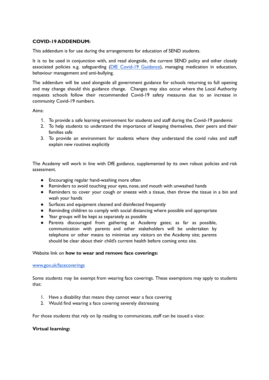## **COVID-19 ADDENDUM:**

This addendum is for use during the arrangements for education of SEND students.

It is to be used in conjunction with, and read alongside, the current SEND policy and other closely associated policies e.g. safeguarding (DfE Covid-19 [Guidance\)](https://www.gov.uk/government/publications/covid-19-safeguarding-in-schools-colleges-and-other-providers), managing medication in education, behaviour management and anti-bullying.

The addendum will be used alongside all government guidance for schools returning to full opening and may change should this guidance change. Changes may also occur where the Local Authority requests schools follow their recommended Covid-19 safety measures due to an increase in community Covid-19 numbers.

Aims:

- 1. To provide a safe learning environment for students and staff during the Covid-19 pandemic
- 2. To help students to understand the importance of keeping themselves, their peers and their families safe
- 3. To provide an environment for students where they understand the covid rules and staff explain new routines explicitly

The Academy will work in line with DfE guidance, supplemented by its own robust policies and risk assessment.

- Encouraging regular hand-washing more often
- Reminders to avoid touching your eyes, nose, and mouth with unwashed hands
- Reminders to cover your cough or sneeze with a tissue, then throw the tissue in a bin and wash your hands
- Surfaces and equipment cleaned and disinfected frequently
- Reminding children to comply with social distancing where possible and appropriate
- Year groups will be kept as separately as possible
- Parents discouraged from gathering at Academy gates; as far as possible, communication with parents and other stakeholders will be undertaken by telephone or other means to minimise any visitors on the Academy site; parents should be clear about their child's current health before coming onto site.

#### Website link on **how to wear and remove face coverings:**

#### [www.gov.uk/facecoverings](https://www.gov.uk/government/publications/face-coverings-when-to-wear-one-and-how-to-make-your-own/face-coverings-when-to-wear-one-and-how-to-make-your-own)

Some students may be exempt from wearing face coverings. These exemptions may apply to students that:

- 1. Have a disability that means they cannot wear a face covering
- 2. Would find wearing a face covering severely distressing

For those students that rely on lip reading to communicate, staff can be issued a visor.

#### **Virtual learning:**